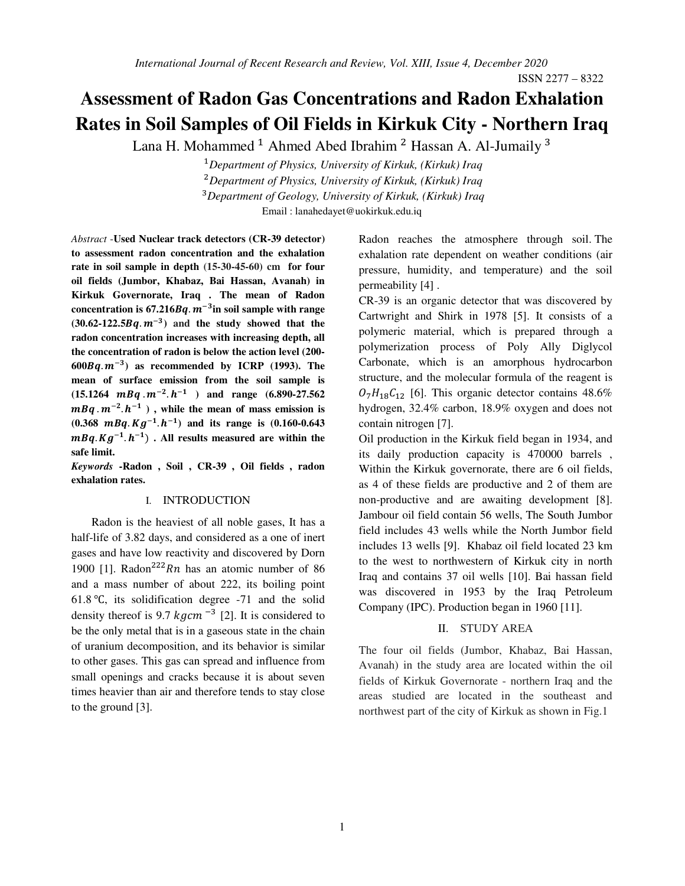# **Assessment of Radon Gas Concentrations and Radon Exhalation Rates in Soil Samples of Oil Fields in Kirkuk City - Northern Iraq**

Lana H. Mohammed <sup>1</sup> Ahmed Abed Ibrahim <sup>2</sup> Hassan A. Al-Jumaily <sup>3</sup>

-*Department of Physics, University of Kirkuk, (Kirkuk) Iraq Department of Physics, University of Kirkuk, (Kirkuk) Iraq Department of Geology, University of Kirkuk, (Kirkuk) Iraq* Email : lanahedayet@uokirkuk.edu.iq

*Abstract* - **Used Nuclear track detectors (CR-39 detector) to assessment radon concentration and the exhalation rate in soil sample in depth (15-30-45-60) cm for four oil fields (Jumbor, Khabaz, Bai Hassan, Avanah) in Kirkuk Governorate, Iraq . The mean of Radon**  concentration is  $67.216Bq$ .  $m^{-3}$ in soil sample with range  $(30.62 - 122.5Bq \cdot m^{-3})$  and the study showed that the **radon concentration increases with increasing depth, all the concentration of radon is below the action level (200-**  $600Bq.m^{-3}$ ) as recommended by ICRP (1993). The **mean of surface emission from the soil sample is**   $(15.1264 \text{ m}Bq \cdot \text{m}^{-2} \cdot \text{h}^{-1})$  and range  $(6.890-27.562)$  $mBq \cdot m^{-2} \cdot h^{-1}$ ), while the mean of mass emission is  $(0.368 \text{ m}Bq. Kg^{-1}h^{-1})$  and its range is  $(0.160-0.643$  $mBq$ .  $Kg^{-1}$ .  $h^{-1}$ ). All results measured are within the **safe limit.**

*Keywords* **- Radon , Soil , CR-39 , Oil fields , radon exhalation rates.** 

## I. INTRODUCTION

 Radon is the heaviest of all noble gases, It has a half-life of 3.82 days, and considered as a one of inert gases and have low reactivity and discovered by Dorn 1900 [1]. Radon<sup>222</sup>Rn has an atomic number of 86 and a mass number of about 222, its boiling point 61.8 ℃, its solidification degree -71 and the solid density thereof is 9.7  $kgcm^{-3}$  [2]. It is considered to be the only metal that is in a gaseous state in the chain of uranium decomposition, and its behavior is similar to other gases. This gas can spread and influence from small openings and cracks because it is about seven times heavier than air and therefore tends to stay close to the ground [3].

Radon reaches the atmosphere through soil. The exhalation rate dependent on weather conditions (air pressure, humidity, and temperature) and the soil permeability [4] .

CR-39 is an organic detector that was discovered by Cartwright and Shirk in 1978 [5]. It consists of a polymeric material, which is prepared through a polymerization process of Poly Ally Diglycol Carbonate, which is an amorphous hydrocarbon structure, and the molecular formula of the reagent is  $O_7H_{18}C_{12}$  [6]. This organic detector contains 48.6% hydrogen, 32.4% carbon, 18.9% oxygen and does not contain nitrogen [7].

Oil production in the Kirkuk field began in 1934, and its daily production capacity is 470000 barrels , Within the Kirkuk governorate, there are 6 oil fields, as 4 of these fields are productive and 2 of them are non-productive and are awaiting development [8]. Jambour oil field contain 56 wells, The South Jumbor field includes 43 wells while the North Jumbor field includes 13 wells [9]. Khabaz oil field located 23 km to the west to northwestern of Kirkuk city in north Iraq and contains 37 oil wells [10]. Bai hassan field was discovered in 1953 by the Iraq Petroleum Company (IPC). Production began in 1960 [11].

# II. STUDY AREA

The four oil fields (Jumbor, Khabaz, Bai Hassan, Avanah) in the study area are located within the oil fields of Kirkuk Governorate - northern Iraq and the areas studied are located in the southeast and northwest part of the city of Kirkuk as shown in Fig.1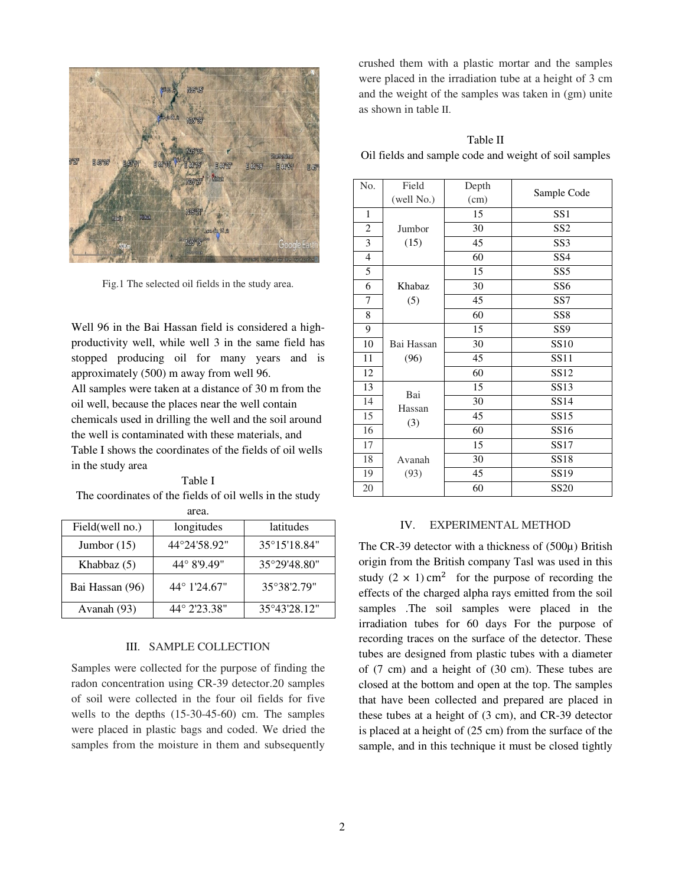

Fig.1 The selected oil fields in the study area.

Well 96 in the Bai Hassan field is considered a highproductivity well, while well 3 in the same field has stopped producing oil for many years and is approximately (500) m away from well 96. All samples were taken at a distance of 30 m from the oil well, because the places near the well contain chemicals used in drilling the well and the soil around the well is contaminated with these materials, and Table I shows the coordinates of the fields of oil wells in the study area

### Table I

The coordinates of the fields of oil wells in the study area.

| Field(well no.) | longitudes   | latitudes    |  |  |
|-----------------|--------------|--------------|--|--|
| Jumbor $(15)$   | 44°24'58.92" | 35°15'18.84" |  |  |
| Khabbaz $(5)$   | 44° 8'9.49"  | 35°29'48.80" |  |  |
| Bai Hassan (96) | 44° 1'24.67" | 35°38'2.79"  |  |  |
| Avanah (93)     | 44° 2'23.38" | 35°43'28.12" |  |  |

# III. SAMPLE COLLECTION

Samples were collected for the purpose of finding the radon concentration using CR-39 detector.20 samples of soil were collected in the four oil fields for five wells to the depths (15-30-45-60) cm. The samples were placed in plastic bags and coded. We dried the samples from the moisture in them and subsequently crushed them with a plastic mortar and the samples were placed in the irradiation tube at a height of 3 cm and the weight of the samples was taken in (gm) unite as shown in table II.

Table II Oil fields and sample code and weight of soil samples

| No.            | Field      | Depth |                  |  |
|----------------|------------|-------|------------------|--|
|                | (well No.) | (cm)  | Sample Code      |  |
| 1              |            | 15    | SS <sub>1</sub>  |  |
| 2              | Jumbor     | 30    | SS <sub>2</sub>  |  |
| 3              | (15)       | 45    | SS <sub>3</sub>  |  |
| $\overline{4}$ |            | 60    | SS <sub>4</sub>  |  |
| 5              |            | 15    | SS <sub>5</sub>  |  |
| 6              | Khabaz     | 30    | SS <sub>6</sub>  |  |
| 7              | (5)        | 45    | SS7              |  |
| 8              |            | 60    | SS <sub>8</sub>  |  |
| 9              |            | 15    | SS <sub>9</sub>  |  |
| 10             | Bai Hassan | 30    | <b>SS10</b>      |  |
| 11             | (96)       | 45    | SS11             |  |
| 12             |            | 60    | SS12             |  |
| 13             | Bai        | 15    | SS13             |  |
| 14             | Hassan     | 30    | SS14             |  |
| 15             | (3)        | 45    | SS15             |  |
| 16             |            | 60    | SS16             |  |
| 17             |            | 15    | SS17             |  |
| 18             | Avanah     | 30    | SS18             |  |
| 19             | (93)       | 45    | SS <sub>19</sub> |  |
| 20             |            | 60    | SS20             |  |

### IV. EXPERIMENTAL METHOD

The CR-39 detector with a thickness of (500µ) British origin from the British company Tasl was used in this study  $(2 \times 1)$  cm<sup>2</sup> for the purpose of recording the effects of the charged alpha rays emitted from the soil samples .The soil samples were placed in the irradiation tubes for 60 days For the purpose of recording traces on the surface of the detector. These tubes are designed from plastic tubes with a diameter of (7 cm) and a height of (30 cm). These tubes are closed at the bottom and open at the top. The samples that have been collected and prepared are placed in these tubes at a height of (3 cm), and CR-39 detector is placed at a height of (25 cm) from the surface of the sample, and in this technique it must be closed tightly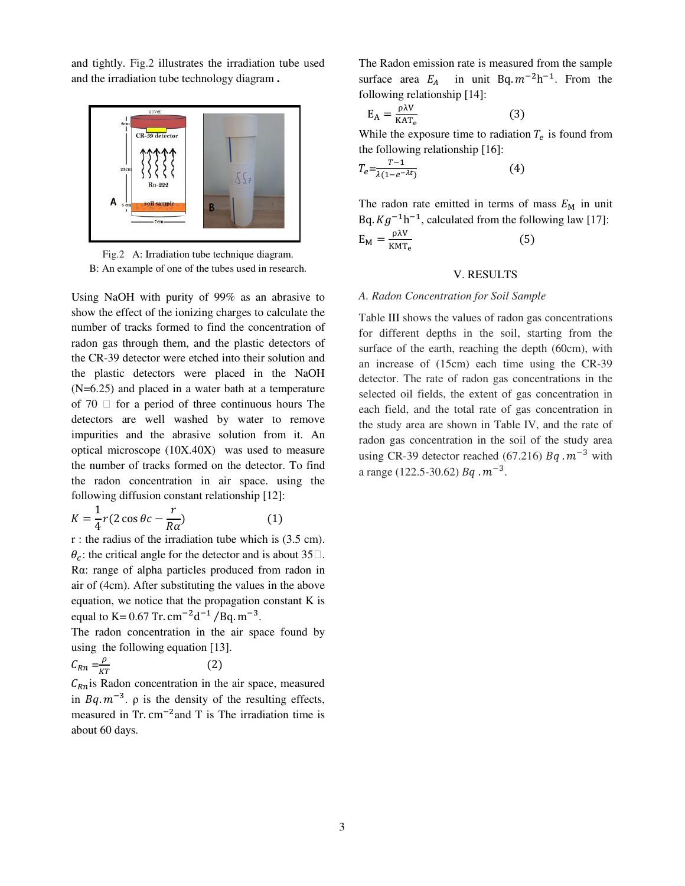and tightly. Fig.2 illustrates the irradiation tube used and the irradiation tube technology diagram **.** 



Fig.2 A: Irradiation tube technique diagram. B: An example of one of the tubes used in research.

Using NaOH with purity of 99% as an abrasive to show the effect of the ionizing charges to calculate the number of tracks formed to find the concentration of radon gas through them, and the plastic detectors of the CR-39 detector were etched into their solution and the plastic detectors were placed in the NaOH (N=6.25) and placed in a water bath at a temperature of 70  $\Box$  for a period of three continuous hours The detectors are well washed by water to remove impurities and the abrasive solution from it. An optical microscope (10X.40X) was used to measure the number of tracks formed on the detector. To find the radon concentration in air space. using the following diffusion constant relationship [12]:

$$
K = \frac{1}{4}r(2\cos\theta c - \frac{r}{R\alpha})\tag{1}
$$

r : the radius of the irradiation tube which is (3.5 cm).  $\theta_c$ : the critical angle for the detector and is about 35 $\Box$ . Rα: range of alpha particles produced from radon in air of (4cm). After substituting the values in the above equation, we notice that the propagation constant K is equal to K =  $0.67$  Tr. cm<sup>-2</sup>d<sup>-1</sup>/Bq. m<sup>-3</sup>.

The radon concentration in the air space found by using the following equation [13].

$$
C_{Rn} = \frac{\rho}{kT} \tag{2}
$$

 $C_{Rn}$  is Radon concentration in the air space, measured in  $Bq \cdot m^{-3}$ .  $\rho$  is the density of the resulting effects, measured in Tr.  $cm^{-2}$  and T is The irradiation time is about 60 days.

The Radon emission rate is measured from the sample surface area  $E_A$  in unit Bq.  $m^{-2}h^{-1}$ . From the following relationship [14]:

$$
E_A = \frac{\rho \lambda V}{KAT_e} \tag{3}
$$

While the exposure time to radiation  $T_e$  is found from the following relationship [16]:

$$
T_e = \frac{T - 1}{\lambda (1 - e^{-\lambda t})} \tag{4}
$$

The radon rate emitted in terms of mass  $E_M$  in unit Bq.  $Kg^{-1}h^{-1}$ , calculated from the following law [17]:  $E_M = \frac{\rho \lambda V}{KMT}$  $_{\rm KMT_e}$  (5)

#### V. RESULTS

# *A. Radon Concentration for Soil Sample*

Table III shows the values of radon gas concentrations for different depths in the soil, starting from the surface of the earth, reaching the depth (60cm), with an increase of (15cm) each time using the CR-39 detector. The rate of radon gas concentrations in the selected oil fields, the extent of gas concentration in each field, and the total rate of gas concentration in the study area are shown in Table IV, and the rate of radon gas concentration in the soil of the study area using CR-39 detector reached (67.216)  $Bq \cdot m^{-3}$  with a range (122.5-30.62)  $Bq \cdot m^{-3}$ .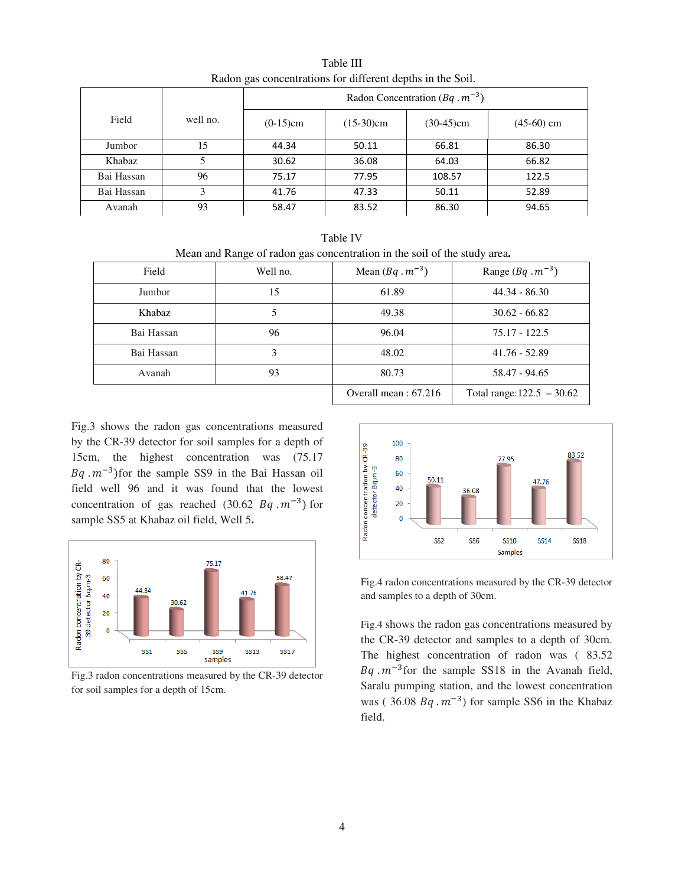| Radon gas concentrations for different depths in the Soft. |          |                                           |              |              |            |
|------------------------------------------------------------|----------|-------------------------------------------|--------------|--------------|------------|
|                                                            |          | Radon Concentration ( $Bq \cdot m^{-3}$ ) |              |              |            |
| Field                                                      | well no. | $(0-15)$ cm                               | $(15-30)$ cm | $(30-45)$ cm | (45-60) cm |
| Jumbor                                                     | 15       | 44.34                                     | 50.11        | 66.81        | 86.30      |
| Khabaz                                                     |          | 30.62                                     | 36.08        | 64.03        | 66.82      |
| Bai Hassan                                                 | 96       | 75.17                                     | 77.95        | 108.57       | 122.5      |
| Bai Hassan                                                 | 3        | 41.76                                     | 47.33        | 50.11        | 52.89      |
| Avanah                                                     | 93       | 58.47                                     | 83.52        | 86.30        | 94.65      |

Table III Radon gas concentrations for different depths in the Soil.

| Table IV                                                                 |
|--------------------------------------------------------------------------|
| Mean and Range of radon gas concentration in the soil of the study area. |

| Field         | Well no. | Mean $(Bq \cdot m^{-3})$ | Range $(Bq \cdot m^{-3})$    |
|---------------|----------|--------------------------|------------------------------|
| Jumbor        | 15       | 61.89                    | $44.34 - 86.30$              |
| <b>Khabaz</b> |          | 49.38                    | $30.62 - 66.82$              |
| Bai Hassan    | 96       | 96.04                    | 75.17 - 122.5                |
| Bai Hassan    | 3        | 48.02                    | $41.76 - 52.89$              |
| Avanah        | 93       | 80.73                    | 58.47 - 94.65                |
|               |          | Overall mean: $67.216$   | Total range: $122.5 - 30.62$ |

Fig.3 shows the radon gas concentrations measured by the CR-39 detector for soil samples for a depth of 15cm, the highest concentration was (75.17  $Bq \cdot m^{-3}$ )for the sample SS9 in the Bai Hassan oil field well 96 and it was found that the lowest concentration of gas reached  $(30.62 \text{ B}q \cdot m^{-3})$  for sample SS5 at Khabaz oil field, Well 5**.** 



Fig.3 radon concentrations measured by the CR-39 detector for soil samples for a depth of 15cm.



Fig.4 radon concentrations measured by the CR-39 detector and samples to a depth of 30cm.

Fig.4 shows the radon gas concentrations measured by the CR-39 detector and samples to a depth of 30cm. The highest concentration of radon was ( 83.52  $Bq \cdot m^{-3}$  for the sample SS18 in the Avanah field, Saralu pumping station, and the lowest concentration was (36.08  $Bq \cdot m^{-3}$ ) for sample SS6 in the Khabaz field.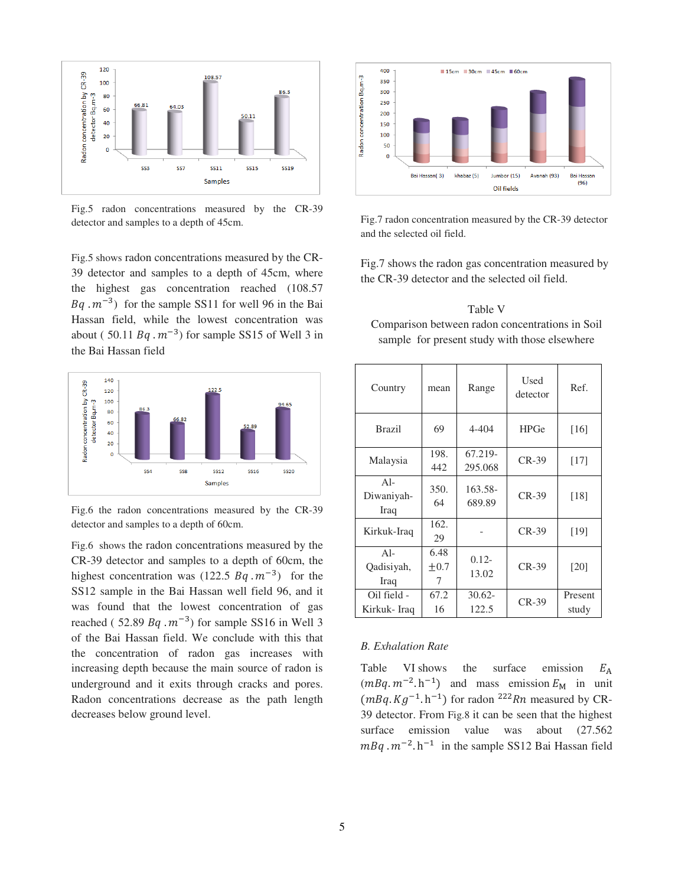

Fig.5 radon concentrations measured by the CR-39 detector and samples to a depth of 45cm.

Fig.5 shows radon concentrations measured by the CR-39 detector and samples to a depth of 45cm, where the highest gas concentration reached (108.57  $Bq \cdot m^{-3}$ ) for the sample SS11 for well 96 in the Bai Hassan field, while the lowest concentration was about (50.11  $Bq \cdot m^{-3}$ ) for sample SS15 of Well 3 in the Bai Hassan field



Fig.6 the radon concentrations measured by the CR-39 detector and samples to a depth of 60cm.

Fig.6 shows the radon concentrations measured by the CR-39 detector and samples to a depth of 60cm, the highest concentration was  $(122.5 Bq \cdot m^{-3})$  for the SS12 sample in the Bai Hassan well field 96, and it was found that the lowest concentration of gas reached (52.89  $Bq \cdot m^{-3}$ ) for sample SS16 in Well 3 of the Bai Hassan field. We conclude with this that the concentration of radon gas increases with increasing depth because the main source of radon is underground and it exits through cracks and pores. Radon concentrations decrease as the path length decreases below ground level.



Fig.7 radon concentration measured by the CR-39 detector and the selected oil field.

Fig.7 shows the radon gas concentration measured by the CR-39 detector and the selected oil field.

Table V Comparison between radon concentrations in Soil sample for present study with those elsewhere

| Country                     | mean                   | Range              | Used<br>detector | Ref.             |
|-----------------------------|------------------------|--------------------|------------------|------------------|
| <b>Brazil</b>               | 69                     | 4-404              | <b>HPGe</b>      | $[16]$           |
| Malaysia                    | 198.<br>442            | 67.219-<br>295.068 | $CR-39$          | $[17]$           |
| $A1-$<br>Diwaniyah-<br>Iraq | 350.<br>64             | 163.58-<br>689.89  | $CR-39$          | [18]             |
| Kirkuk-Iraq                 | 162.<br>29             |                    | $CR-39$          | [19]             |
| $Al-$<br>Qadisiyah,<br>Iraq | 6.48<br>$\pm 0.7$<br>7 | $0.12 -$<br>13.02  | $CR-39$          | [20]             |
| Oil field -<br>Kirkuk- Iraq | 67.2<br>16             | $30.62 -$<br>122.5 | $CR-39$          | Present<br>study |

# *B. Exhalation Rate*

Table VI shows the surface emission  $E_A$  $(mBq. m^{-2} \cdot h^{-1})$  and mass emission  $E_M$  in unit  $(mBq. Kg^{-1} \cdot h^{-1})$  for radon <sup>222</sup>Rn measured by CR-39 detector. From Fig.8 it can be seen that the highest surface emission value was about (27.562)  $mBq \cdot m^{-2} \cdot h^{-1}$  in the sample SS12 Bai Hassan field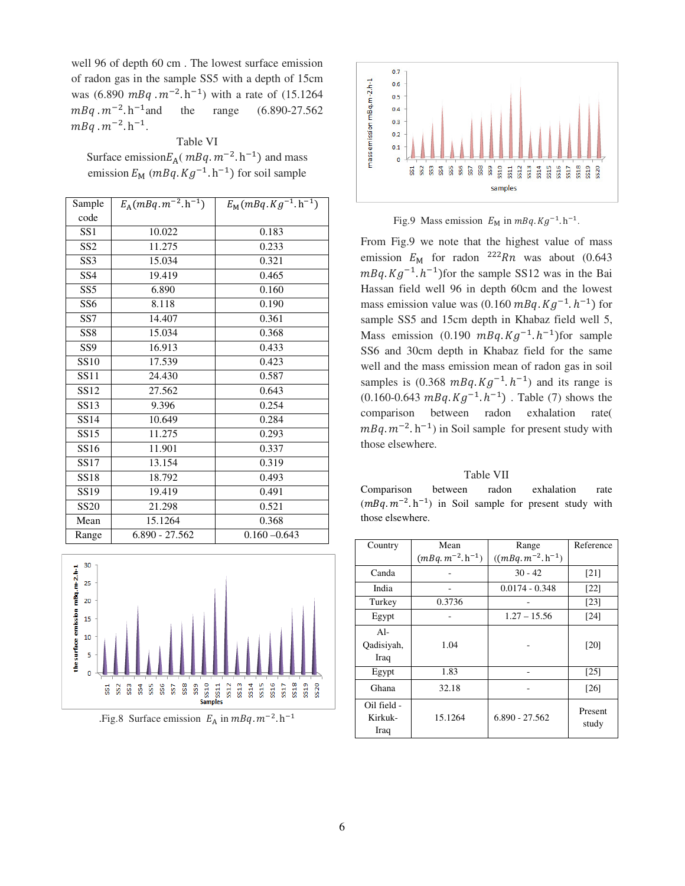well 96 of depth 60 cm . The lowest surface emission of radon gas in the sample SS5 with a depth of 15cm was  $(6.890 \text{ mBq} \cdot \text{m}^{-2} \cdot \text{h}^{-1})$  with a rate of  $(15.1264$  $mBq \cdot m^{-2}$ . h<sup>-1</sup> and the range  $(6.890-27.562)$  $mBq \cdot m^{-2} \cdot h^{-1}$ .

# Table VI

Surface emission $E_A$ ( $mBq$ .  $m^{-2}$ . h<sup>-1</sup>) and mass emission  $E_M$  (*mBq.Kg*<sup>-1</sup>.h<sup>-1</sup>) for soil sample

| Sample           | $E_{\rm A}(mB\overline{q.m^{-2}.h^{-1}})$ | $E_{\rm M}(mBq. Kg^{-1} . h^{-1})$ |
|------------------|-------------------------------------------|------------------------------------|
| code             |                                           |                                    |
| SS <sub>1</sub>  | 10.022                                    | 0.183                              |
| SS <sub>2</sub>  | 11.275                                    | 0.233                              |
| SS <sub>3</sub>  | 15.034                                    | 0.321                              |
| SS <sub>4</sub>  | 19.419                                    | 0.465                              |
| SS <sub>5</sub>  | 6.890                                     | 0.160                              |
| SS <sub>6</sub>  | 8.118                                     | 0.190                              |
| SS7              | 14.407                                    | 0.361                              |
| SS <sub>8</sub>  | 15.034                                    | 0.368                              |
| SS <sub>9</sub>  | 16.913                                    | 0.433                              |
| <b>SS10</b>      | 17.539                                    | 0.423                              |
| <b>SS11</b>      | 24.430                                    | 0.587                              |
| SS <sub>12</sub> | 27.562                                    | 0.643                              |
| SS13             | 9.396                                     | 0.254                              |
| <b>SS14</b>      | 10.649                                    | 0.284                              |
| <b>SS15</b>      | 11.275                                    | 0.293                              |
| SS <sub>16</sub> | 11.901                                    | 0.337                              |
| SS17             | 13.154                                    | 0.319                              |
| <b>SS18</b>      | 18.792                                    | 0.493                              |
| SS <sub>19</sub> | 19.419                                    | 0.491                              |
| <b>SS20</b>      | 21.298                                    | 0.521                              |
| Mean             | 15.1264                                   | 0.368                              |
| Range            | 6.890 - 27.562                            | $0.160 - 0.643$                    |



.Fig.8 Surface emission  $E_A$  in  $mBq$ .  $m^{-2}$ . h<sup>-1</sup>



Fig.9 Mass emission  $E_M$  in  $mBq$ .  $Kg^{-1}$ . h<sup>-1</sup>.

From Fig.9 we note that the highest value of mass emission  $E_M$  for radon <sup>222</sup>Rn was about (0.643)  $mBq$ .  $Kg^{-1}$ .  $h^{-1}$ ) for the sample SS12 was in the Bai Hassan field well 96 in depth 60cm and the lowest mass emission value was  $(0.160 \text{ mBq} \cdot \text{Kg}^{-1} \cdot \text{h}^{-1})$  for sample SS5 and 15cm depth in Khabaz field well 5, Mass emission (0.190  $mBq$ .  $Kg^{-1}$ .  $h^{-1}$ ) for sample SS6 and 30cm depth in Khabaz field for the same well and the mass emission mean of radon gas in soil samples is  $(0.368 \text{ mBq} \cdot \text{Kg}^{-1} \cdot \text{h}^{-1})$  and its range is  $(0.160 - 0.643 \, mBq \cdot Kg^{-1} \cdot h^{-1})$ . Table (7) shows the comparison between radon exhalation rate(  $mBq \cdot m^{-2} \cdot h^{-1}$  in Soil sample for present study with those elsewhere.

## Table VII

Comparison between radon exhalation rate  $(mBq. m^{-2} \cdot h^{-1})$  in Soil sample for present study with those elsewhere.

| Country     | Mean                     | Range                    | Reference          |
|-------------|--------------------------|--------------------------|--------------------|
|             |                          |                          |                    |
|             | $(mBq. m^{-2} . h^{-1})$ | $((mBq. m^{-2}. h^{-1})$ |                    |
| Canda       |                          | $30 - 42$                | $\lceil 21 \rceil$ |
| India       |                          | $0.0174 - 0.348$         | $\lceil 22 \rceil$ |
| Turkey      | 0.3736                   |                          | $\lceil 23 \rceil$ |
| Egypt       |                          | $1.27 - 15.56$           | $\lceil 24 \rceil$ |
| $Al-$       |                          |                          |                    |
| Qadisiyah,  | 1.04                     |                          | [20]               |
| Iraq        |                          |                          |                    |
| Egypt       | 1.83                     |                          | $\lceil 25 \rceil$ |
| Ghana       | 32.18                    |                          | $[26]$             |
| Oil field - |                          |                          | Present            |
| Kirkuk-     | 15.1264                  | $6.890 - 27.562$         |                    |
| Iraq        |                          |                          | study              |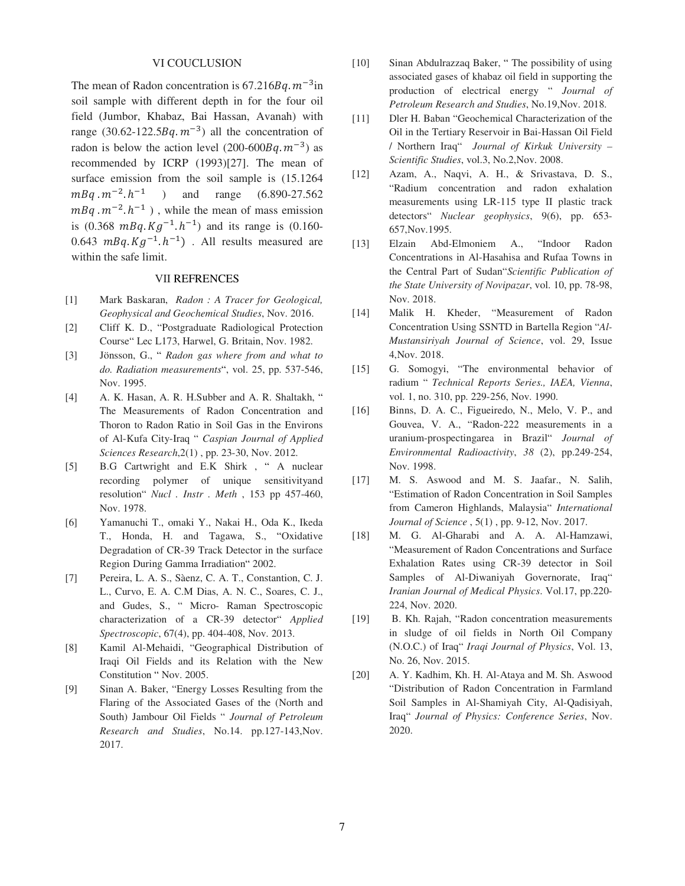# VI COUCLUSION

The mean of Radon concentration is  $67.216Bq \cdot m^{-3}$  in soil sample with different depth in for the four oil field (Jumbor, Khabaz, Bai Hassan, Avanah) with range (30.62-122.5 $Bq.m^{-3}$ ) all the concentration of radon is below the action level  $(200-600Bq, m^{-3})$  as recommended by ICRP (1993)[27]. The mean of surface emission from the soil sample is (15.1264  $mBq \cdot m^{-2} \cdot h^{-1}$  ) ) and range (6.890-27.562  $mBq \cdot m^{-2} \cdot h^{-1}$ ), while the mean of mass emission is  $(0.368 \text{ m}Bq. Kg^{-1} h^{-1})$  and its range is  $(0.160 -$ 0.643  $mBq$ .  $Kg^{-1}$ .  $h^{-1}$ ). All results measured are within the safe limit.

# VII REFRENCES

- [1] Mark Baskaran, *Radon : A Tracer for Geological, Geophysical and Geochemical Studies*, Nov. 2016.
- [2] Cliff K. D., "Postgraduate Radiological Protection Course" Lec L173, Harwel, G. Britain, Nov. 1982.
- [3] Jönsson, G., " *Radon gas where from and what to do. Radiation measurements*", vol. 25, pp. 537-546, Nov. 1995.
- [4] A. K. Hasan, A. R. H.Subber and A. R. Shaltakh, " The Measurements of Radon Concentration and Thoron to Radon Ratio in Soil Gas in the Environs of Al-Kufa City-Iraq " *Caspian Journal of Applied Sciences Research*,2(1) , pp. 23-30, Nov. 2012.
- [5] B.G Cartwright and E.K Shirk , " A nuclear recording polymer of unique sensitivityand resolution" *Nucl . Instr . Meth* , 153 pp 457-460, Nov. 1978.
- [6] Yamanuchi T., omaki Y., Nakai H., Oda K., Ikeda T., Honda, H. and Tagawa, S., "Oxidative Degradation of CR-39 Track Detector in the surface Region During Gamma Irradiation" 2002.
- [7] Pereira, L. A. S., Sàenz, C. A. T., Constantion, C. J. L., Curvo, E. A. C.M Dias, A. N. C., Soares, C. J., and Gudes, S., " Micro- Raman Spectroscopic characterization of a CR-39 detector" *Applied Spectroscopic*, 67(4), pp. 404-408, Nov. 2013.
- [8] Kamil Al-Mehaidi, "Geographical Distribution of Iraqi Oil Fields and its Relation with the New Constitution " Nov. 2005.
- [9] Sinan A. Baker, "Energy Losses Resulting from the Flaring of the Associated Gases of the (North and South) Jambour Oil Fields " *Journal of Petroleum Research and Studies*, No.14. pp.127-143,Nov. 2017.
- [10] Sinan Abdulrazzaq Baker, " The possibility of using associated gases of khabaz oil field in supporting the production of electrical energy " *Journal of Petroleum Research and Studies*, No.19,Nov. 2018.
- [11] Dler H. Baban "Geochemical Characterization of the Oil in the Tertiary Reservoir in Bai-Hassan Oil Field / Northern Iraq" *Journal of Kirkuk University – Scientific Studies*, vol.3, No.2,Nov. 2008.
- [12] Azam, A., Naqvi, A. H., & Srivastava, D. S., "Radium concentration and radon exhalation measurements using LR-115 type II plastic track detectors" *Nuclear geophysics*, 9(6), pp. 653- 657,Nov.1995.
- [13] Elzain Abd-Elmoniem A., "Indoor Radon Concentrations in Al-Hasahisa and Rufaa Towns in the Central Part of Sudan"*Scientific Publication of the State University of Novipazar*, vol. 10, pp. 78-98, Nov. 2018.
- [14] Malik H. Kheder, "Measurement of Radon Concentration Using SSNTD in Bartella Region "*Al-Mustansiriyah Journal of Science*, vol. 29, Issue 4,Nov. 2018.
- [15] G. Somogyi, "The environmental behavior of radium " *Technical Reports Series., IAEA, Vienna*, vol. 1, no. 310, pp. 229-256, Nov. 1990.
- [16] Binns, D. A. C., Figueiredo, N., Melo, V. P., and Gouvea, V. A., "Radon-222 measurements in a uranium-prospectingarea in Brazil" *Journal of Environmental Radioactivity*, *38* (2), pp.249-254, Nov. 1998.
- [17] M. S. Aswood and M. S. Jaafar., N. Salih, "Estimation of Radon Concentration in Soil Samples from Cameron Highlands, Malaysia" *International Journal of Science* , 5(1) , pp. 9-12, Nov. 2017.
- [18] M. G. Al-Gharabi and A. A. Al-Hamzawi, "Measurement of Radon Concentrations and Surface Exhalation Rates using CR-39 detector in Soil Samples of Al-Diwaniyah Governorate, Iraq" *Iranian Journal of Medical Physics*. Vol.17, pp.220- 224, Nov. 2020.
- [19] B. Kh. Rajah, "Radon concentration measurements in sludge of oil fields in North Oil Company (N.O.C.) of Iraq" *Iraqi Journal of Physics*, Vol. 13, No. 26, Nov. 2015.
- [20] A. Y. Kadhim, Kh. H. Al-Ataya and M. Sh. Aswood "Distribution of Radon Concentration in Farmland Soil Samples in Al-Shamiyah City, Al-Qadisiyah, Iraq" *Journal of Physics: Conference Series*, Nov. 2020.